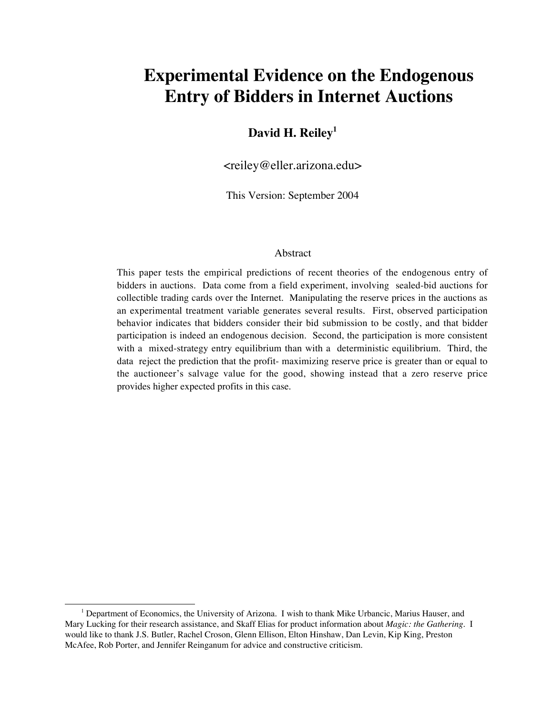# **Experimental Evidence on the Endogenous Entry of Bidders in Internet Auctions**

### David H. Reiley<sup>1</sup>

<reiley@eller.arizona.edu>

This Version: September 2004

#### Abstract

This paper tests the empirical predictions of recent theories of the endogenous entry of bidders in auctions. Data come from a field experiment, involving sealed-bid auctions for collectible trading cards over the Internet. Manipulating the reserve prices in the auctions as an experimental treatment variable generates several results. First, observed participation behavior indicates that bidders consider their bid submission to be costly, and that bidder participation is indeed an endogenous decision. Second, the participation is more consistent with a mixed-strategy entry equilibrium than with a deterministic equilibrium. Third, the data reject the prediction that the profit- maximizing reserve price is greater than or equal to the auctioneer's salvage value for the good, showing instead that a zero reserve price provides higher expected profits in this case.

 <sup>1</sup> <sup>1</sup> Department of Economics, the University of Arizona. I wish to thank Mike Urbancic, Marius Hauser, and Mary Lucking for their research assistance, and Skaff Elias for product information about *Magic: the Gathering*. I would like to thank J.S. Butler, Rachel Croson, Glenn Ellison, Elton Hinshaw, Dan Levin, Kip King, Preston McAfee, Rob Porter, and Jennifer Reinganum for advice and constructive criticism.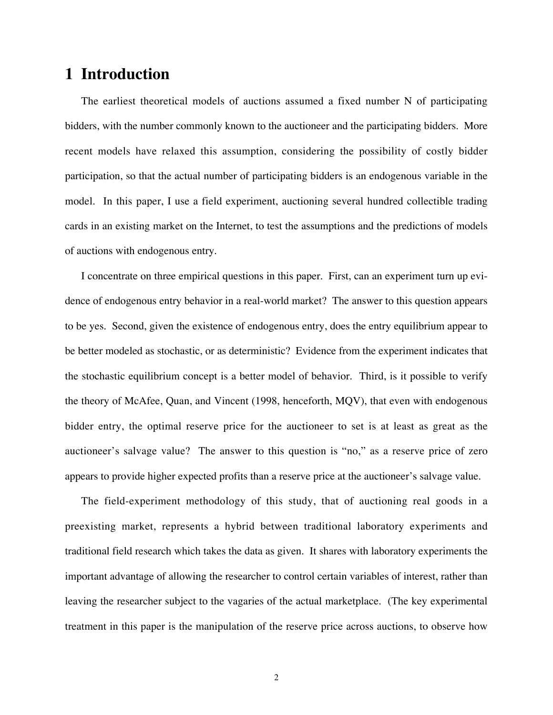# **1 Introduction**

The earliest theoretical models of auctions assumed a fixed number N of participating bidders, with the number commonly known to the auctioneer and the participating bidders. More recent models have relaxed this assumption, considering the possibility of costly bidder participation, so that the actual number of participating bidders is an endogenous variable in the model. In this paper, I use a field experiment, auctioning several hundred collectible trading cards in an existing market on the Internet, to test the assumptions and the predictions of models of auctions with endogenous entry.

I concentrate on three empirical questions in this paper. First, can an experiment turn up evidence of endogenous entry behavior in a real-world market? The answer to this question appears to be yes. Second, given the existence of endogenous entry, does the entry equilibrium appear to be better modeled as stochastic, or as deterministic? Evidence from the experiment indicates that the stochastic equilibrium concept is a better model of behavior. Third, is it possible to verify the theory of McAfee, Quan, and Vincent (1998, henceforth, MQV), that even with endogenous bidder entry, the optimal reserve price for the auctioneer to set is at least as great as the auctioneer's salvage value? The answer to this question is "no," as a reserve price of zero appears to provide higher expected profits than a reserve price at the auctioneer's salvage value.

The field-experiment methodology of this study, that of auctioning real goods in a preexisting market, represents a hybrid between traditional laboratory experiments and traditional field research which takes the data as given. It shares with laboratory experiments the important advantage of allowing the researcher to control certain variables of interest, rather than leaving the researcher subject to the vagaries of the actual marketplace. (The key experimental treatment in this paper is the manipulation of the reserve price across auctions, to observe how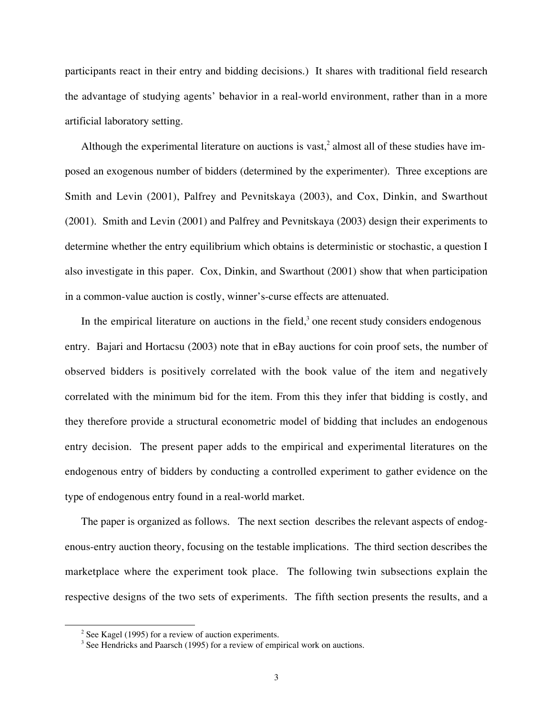participants react in their entry and bidding decisions.) It shares with traditional field research the advantage of studying agents' behavior in a real-world environment, rather than in a more artificial laboratory setting.

Although the experimental literature on auctions is vast,<sup>2</sup> almost all of these studies have imposed an exogenous number of bidders (determined by the experimenter). Three exceptions are Smith and Levin (2001), Palfrey and Pevnitskaya (2003), and Cox, Dinkin, and Swarthout (2001). Smith and Levin (2001) and Palfrey and Pevnitskaya (2003) design their experiments to determine whether the entry equilibrium which obtains is deterministic or stochastic, a question I also investigate in this paper. Cox, Dinkin, and Swarthout (2001) show that when participation in a common-value auction is costly, winner's-curse effects are attenuated.

In the empirical literature on auctions in the field, $3$  one recent study considers endogenous entry. Bajari and Hortacsu (2003) note that in eBay auctions for coin proof sets, the number of observed bidders is positively correlated with the book value of the item and negatively correlated with the minimum bid for the item. From this they infer that bidding is costly, and they therefore provide a structural econometric model of bidding that includes an endogenous entry decision. The present paper adds to the empirical and experimental literatures on the endogenous entry of bidders by conducting a controlled experiment to gather evidence on the type of endogenous entry found in a real-world market.

The paper is organized as follows. The next section describes the relevant aspects of endogenous-entry auction theory, focusing on the testable implications. The third section describes the marketplace where the experiment took place. The following twin subsections explain the respective designs of the two sets of experiments. The fifth section presents the results, and a

 $\overline{a}$  $2$  See Kagel (1995) for a review of auction experiments.

 $3$  See Hendricks and Paarsch (1995) for a review of empirical work on auctions.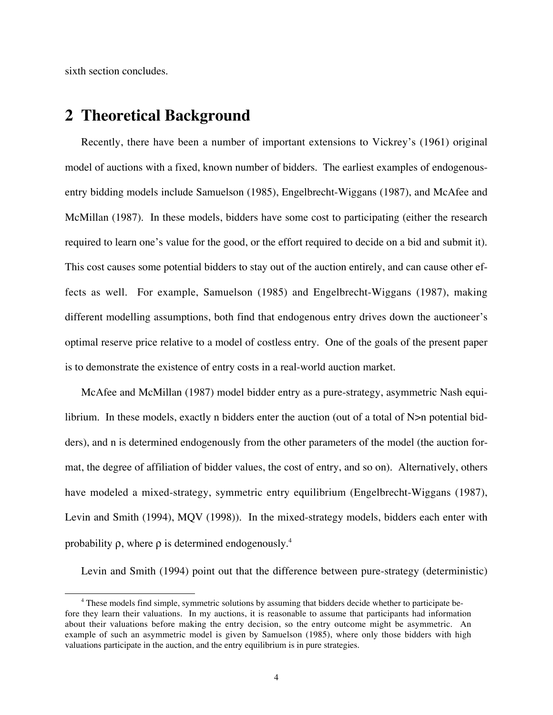sixth section concludes.

### **2 Theoretical Background**

Recently, there have been a number of important extensions to Vickrey's (1961) original model of auctions with a fixed, known number of bidders. The earliest examples of endogenousentry bidding models include Samuelson (1985), Engelbrecht-Wiggans (1987), and McAfee and McMillan (1987). In these models, bidders have some cost to participating (either the research required to learn one's value for the good, or the effort required to decide on a bid and submit it). This cost causes some potential bidders to stay out of the auction entirely, and can cause other effects as well. For example, Samuelson (1985) and Engelbrecht-Wiggans (1987), making different modelling assumptions, both find that endogenous entry drives down the auctioneer's optimal reserve price relative to a model of costless entry. One of the goals of the present paper is to demonstrate the existence of entry costs in a real-world auction market.

McAfee and McMillan (1987) model bidder entry as a pure-strategy, asymmetric Nash equilibrium. In these models, exactly n bidders enter the auction (out of a total of N>n potential bidders), and n is determined endogenously from the other parameters of the model (the auction format, the degree of affiliation of bidder values, the cost of entry, and so on). Alternatively, others have modeled a mixed-strategy, symmetric entry equilibrium (Engelbrecht-Wiggans (1987), Levin and Smith (1994), MQV (1998)). In the mixed-strategy models, bidders each enter with probability  $\rho$ , where  $\rho$  is determined endogenously.<sup>4</sup>

Levin and Smith (1994) point out that the difference between pure-strategy (deterministic)

 $\frac{1}{4}$  These models find simple, symmetric solutions by assuming that bidders decide whether to participate before they learn their valuations. In my auctions, it is reasonable to assume that participants had information about their valuations before making the entry decision, so the entry outcome might be asymmetric. An example of such an asymmetric model is given by Samuelson (1985), where only those bidders with high valuations participate in the auction, and the entry equilibrium is in pure strategies.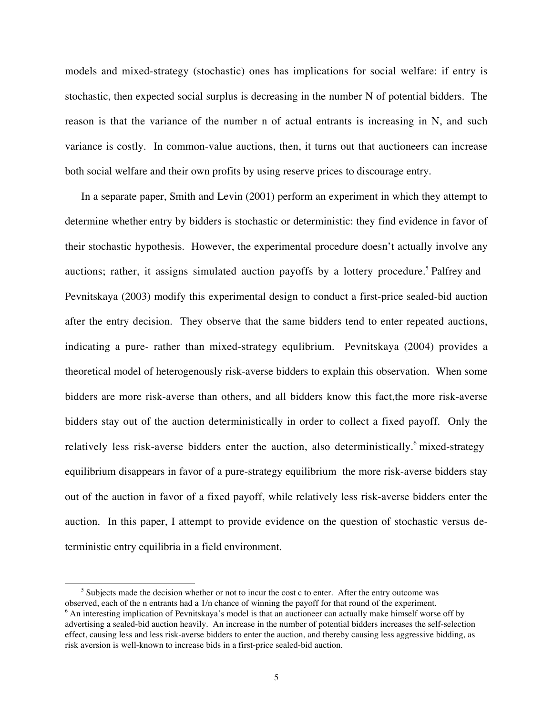models and mixed-strategy (stochastic) ones has implications for social welfare: if entry is stochastic, then expected social surplus is decreasing in the number N of potential bidders. The reason is that the variance of the number n of actual entrants is increasing in N, and such variance is costly. In common-value auctions, then, it turns out that auctioneers can increase both social welfare and their own profits by using reserve prices to discourage entry.

In a separate paper, Smith and Levin (2001) perform an experiment in which they attempt to determine whether entry by bidders is stochastic or deterministic: they find evidence in favor of their stochastic hypothesis. However, the experimental procedure doesn't actually involve any auctions; rather, it assigns simulated auction payoffs by a lottery procedure.<sup>5</sup> Palfrey and Pevnitskaya (2003) modify this experimental design to conduct a first-price sealed-bid auction after the entry decision. They observe that the same bidders tend to enter repeated auctions, indicating a pure- rather than mixed-strategy equlibrium. Pevnitskaya (2004) provides a theoretical model of heterogenously risk-averse bidders to explain this observation. When some bidders are more risk-averse than others, and all bidders know this fact,the more risk-averse bidders stay out of the auction deterministically in order to collect a fixed payoff. Only the relatively less risk-averse bidders enter the auction, also deterministically.<sup>6</sup> mixed-strategy equilibrium disappears in favor of a pure-strategy equilibrium the more risk-averse bidders stay out of the auction in favor of a fixed payoff, while relatively less risk-averse bidders enter the auction. In this paper, I attempt to provide evidence on the question of stochastic versus deterministic entry equilibria in a field environment.

 $\frac{1}{5}$ <sup>5</sup> Subjects made the decision whether or not to incur the cost c to enter. After the entry outcome was observed, each of the n entrants had a 1/n chance of winning the payoff for that round of the experiment.

<sup>&</sup>lt;sup>6</sup> An interesting implication of Pevnitskaya's model is that an auctioneer can actually make himself worse off by advertising a sealed-bid auction heavily. An increase in the number of potential bidders increases the self-selection effect, causing less and less risk-averse bidders to enter the auction, and thereby causing less aggressive bidding, as risk aversion is well-known to increase bids in a first-price sealed-bid auction.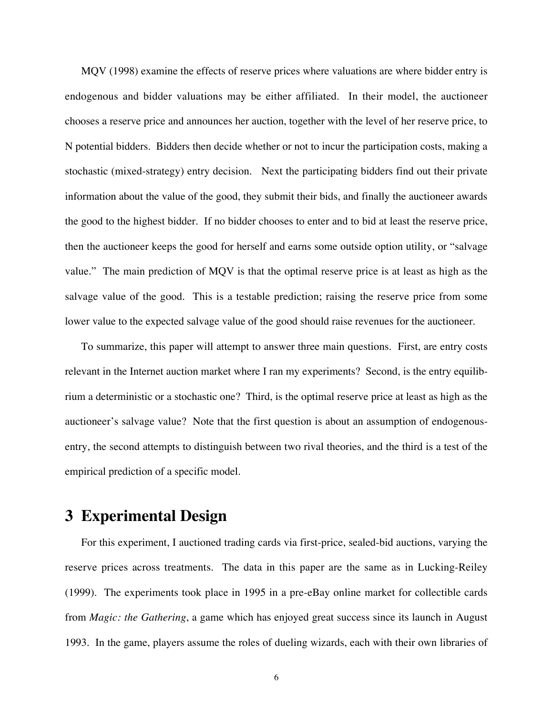MQV (1998) examine the effects of reserve prices where valuations are where bidder entry is endogenous and bidder valuations may be either affiliated. In their model, the auctioneer chooses a reserve price and announces her auction, together with the level of her reserve price, to N potential bidders. Bidders then decide whether or not to incur the participation costs, making a stochastic (mixed-strategy) entry decision. Next the participating bidders find out their private information about the value of the good, they submit their bids, and finally the auctioneer awards the good to the highest bidder. If no bidder chooses to enter and to bid at least the reserve price, then the auctioneer keeps the good for herself and earns some outside option utility, or "salvage value." The main prediction of MQV is that the optimal reserve price is at least as high as the salvage value of the good. This is a testable prediction; raising the reserve price from some lower value to the expected salvage value of the good should raise revenues for the auctioneer.

To summarize, this paper will attempt to answer three main questions. First, are entry costs relevant in the Internet auction market where I ran my experiments? Second, is the entry equilibrium a deterministic or a stochastic one? Third, is the optimal reserve price at least as high as the auctioneer's salvage value? Note that the first question is about an assumption of endogenousentry, the second attempts to distinguish between two rival theories, and the third is a test of the empirical prediction of a specific model.

## **3 Experimental Design**

For this experiment, I auctioned trading cards via first-price, sealed-bid auctions, varying the reserve prices across treatments. The data in this paper are the same as in Lucking-Reiley (1999). The experiments took place in 1995 in a pre-eBay online market for collectible cards from *Magic: the Gathering*, a game which has enjoyed great success since its launch in August 1993. In the game, players assume the roles of dueling wizards, each with their own libraries of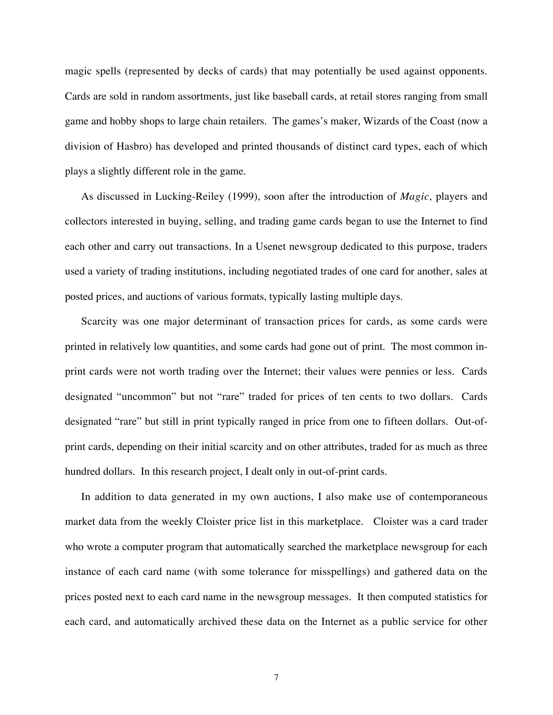magic spells (represented by decks of cards) that may potentially be used against opponents. Cards are sold in random assortments, just like baseball cards, at retail stores ranging from small game and hobby shops to large chain retailers. The games's maker, Wizards of the Coast (now a division of Hasbro) has developed and printed thousands of distinct card types, each of which plays a slightly different role in the game.

As discussed in Lucking-Reiley (1999), soon after the introduction of *Magic*, players and collectors interested in buying, selling, and trading game cards began to use the Internet to find each other and carry out transactions. In a Usenet newsgroup dedicated to this purpose, traders used a variety of trading institutions, including negotiated trades of one card for another, sales at posted prices, and auctions of various formats, typically lasting multiple days.

Scarcity was one major determinant of transaction prices for cards, as some cards were printed in relatively low quantities, and some cards had gone out of print. The most common inprint cards were not worth trading over the Internet; their values were pennies or less. Cards designated "uncommon" but not "rare" traded for prices of ten cents to two dollars. Cards designated "rare" but still in print typically ranged in price from one to fifteen dollars. Out-ofprint cards, depending on their initial scarcity and on other attributes, traded for as much as three hundred dollars. In this research project, I dealt only in out-of-print cards.

In addition to data generated in my own auctions, I also make use of contemporaneous market data from the weekly Cloister price list in this marketplace. Cloister was a card trader who wrote a computer program that automatically searched the marketplace newsgroup for each instance of each card name (with some tolerance for misspellings) and gathered data on the prices posted next to each card name in the newsgroup messages. It then computed statistics for each card, and automatically archived these data on the Internet as a public service for other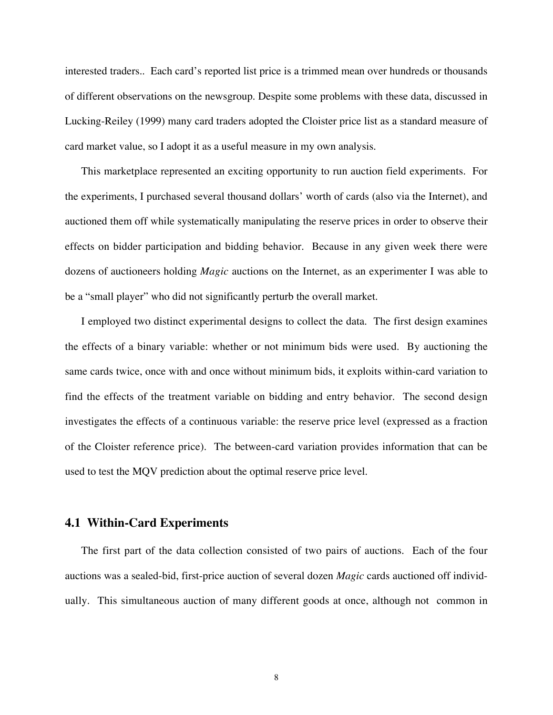interested traders.. Each card's reported list price is a trimmed mean over hundreds or thousands of different observations on the newsgroup. Despite some problems with these data, discussed in Lucking-Reiley (1999) many card traders adopted the Cloister price list as a standard measure of card market value, so I adopt it as a useful measure in my own analysis.

This marketplace represented an exciting opportunity to run auction field experiments. For the experiments, I purchased several thousand dollars' worth of cards (also via the Internet), and auctioned them off while systematically manipulating the reserve prices in order to observe their effects on bidder participation and bidding behavior. Because in any given week there were dozens of auctioneers holding *Magic* auctions on the Internet, as an experimenter I was able to be a "small player" who did not significantly perturb the overall market.

I employed two distinct experimental designs to collect the data. The first design examines the effects of a binary variable: whether or not minimum bids were used. By auctioning the same cards twice, once with and once without minimum bids, it exploits within-card variation to find the effects of the treatment variable on bidding and entry behavior. The second design investigates the effects of a continuous variable: the reserve price level (expressed as a fraction of the Cloister reference price). The between-card variation provides information that can be used to test the MQV prediction about the optimal reserve price level.

#### **4.1 Within-Card Experiments**

The first part of the data collection consisted of two pairs of auctions. Each of the four auctions was a sealed-bid, first-price auction of several dozen *Magic* cards auctioned off individually. This simultaneous auction of many different goods at once, although not common in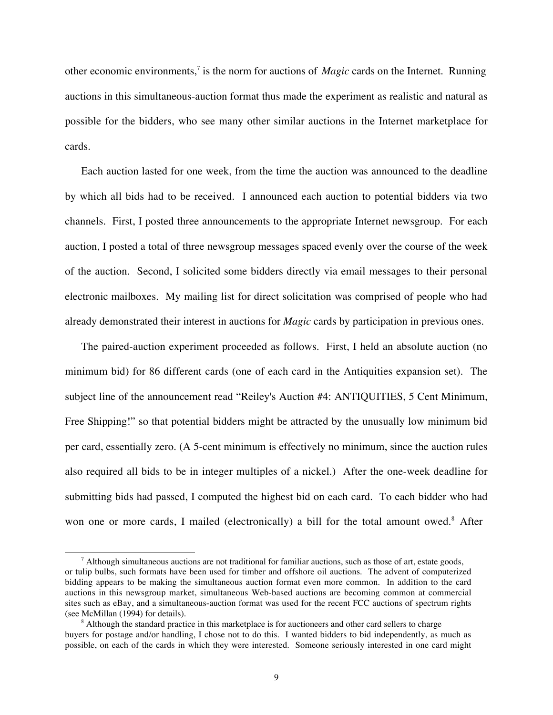other economic environments,<sup>7</sup> is the norm for auctions of *Magic* cards on the Internet. Running auctions in this simultaneous-auction format thus made the experiment as realistic and natural as possible for the bidders, who see many other similar auctions in the Internet marketplace for cards.

Each auction lasted for one week, from the time the auction was announced to the deadline by which all bids had to be received. I announced each auction to potential bidders via two channels. First, I posted three announcements to the appropriate Internet newsgroup. For each auction, I posted a total of three newsgroup messages spaced evenly over the course of the week of the auction. Second, I solicited some bidders directly via email messages to their personal electronic mailboxes. My mailing list for direct solicitation was comprised of people who had already demonstrated their interest in auctions for *Magic* cards by participation in previous ones.

The paired-auction experiment proceeded as follows. First, I held an absolute auction (no minimum bid) for 86 different cards (one of each card in the Antiquities expansion set). The subject line of the announcement read "Reiley's Auction #4: ANTIQUITIES, 5 Cent Minimum, Free Shipping!" so that potential bidders might be attracted by the unusually low minimum bid per card, essentially zero. (A 5-cent minimum is effectively no minimum, since the auction rules also required all bids to be in integer multiples of a nickel.) After the one-week deadline for submitting bids had passed, I computed the highest bid on each card. To each bidder who had won one or more cards, I mailed (electronically) a bill for the total amount owed.<sup>8</sup> After

 $\overline{7}$  $^7$  Although simultaneous auctions are not traditional for familiar auctions, such as those of art, estate goods, or tulip bulbs, such formats have been used for timber and offshore oil auctions. The advent of computerized bidding appears to be making the simultaneous auction format even more common. In addition to the card auctions in this newsgroup market, simultaneous Web-based auctions are becoming common at commercial sites such as eBay, and a simultaneous-auction format was used for the recent FCC auctions of spectrum rights (see McMillan (1994) for details).

<sup>&</sup>lt;sup>8</sup> Although the standard practice in this marketplace is for auctioneers and other card sellers to charge buyers for postage and/or handling, I chose not to do this. I wanted bidders to bid independently, as much as possible, on each of the cards in which they were interested. Someone seriously interested in one card might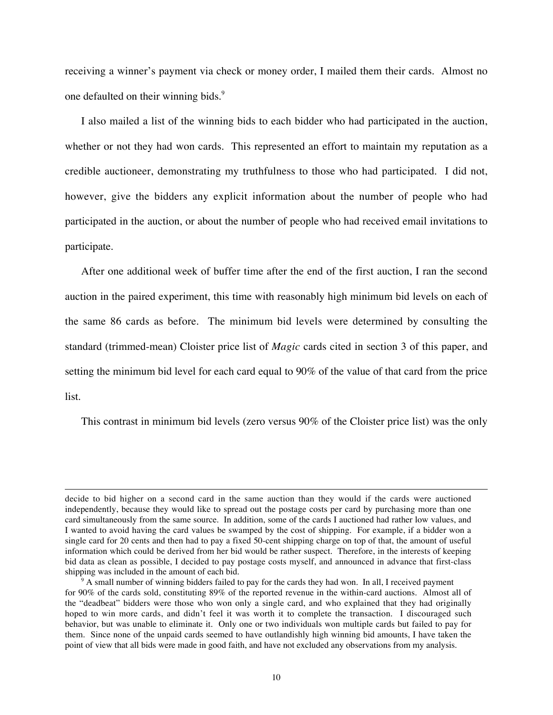receiving a winner's payment via check or money order, I mailed them their cards. Almost no one defaulted on their winning bids.<sup>9</sup>

I also mailed a list of the winning bids to each bidder who had participated in the auction, whether or not they had won cards. This represented an effort to maintain my reputation as a credible auctioneer, demonstrating my truthfulness to those who had participated. I did not, however, give the bidders any explicit information about the number of people who had participated in the auction, or about the number of people who had received email invitations to participate.

After one additional week of buffer time after the end of the first auction, I ran the second auction in the paired experiment, this time with reasonably high minimum bid levels on each of the same 86 cards as before. The minimum bid levels were determined by consulting the standard (trimmed-mean) Cloister price list of *Magic* cards cited in section 3 of this paper, and setting the minimum bid level for each card equal to 90% of the value of that card from the price list.

This contrast in minimum bid levels (zero versus 90% of the Cloister price list) was the only

 $\overline{a}$ 

decide to bid higher on a second card in the same auction than they would if the cards were auctioned independently, because they would like to spread out the postage costs per card by purchasing more than one card simultaneously from the same source. In addition, some of the cards I auctioned had rather low values, and I wanted to avoid having the card values be swamped by the cost of shipping. For example, if a bidder won a single card for 20 cents and then had to pay a fixed 50-cent shipping charge on top of that, the amount of useful information which could be derived from her bid would be rather suspect. Therefore, in the interests of keeping bid data as clean as possible, I decided to pay postage costs myself, and announced in advance that first-class shipping was included in the amount of each bid.

<sup>&</sup>lt;sup>9</sup> A small number of winning bidders failed to pay for the cards they had won. In all, I received payment for 90% of the cards sold, constituting 89% of the reported revenue in the within-card auctions. Almost all of the "deadbeat" bidders were those who won only a single card, and who explained that they had originally hoped to win more cards, and didn't feel it was worth it to complete the transaction. I discouraged such behavior, but was unable to eliminate it. Only one or two individuals won multiple cards but failed to pay for them. Since none of the unpaid cards seemed to have outlandishly high winning bid amounts, I have taken the point of view that all bids were made in good faith, and have not excluded any observations from my analysis.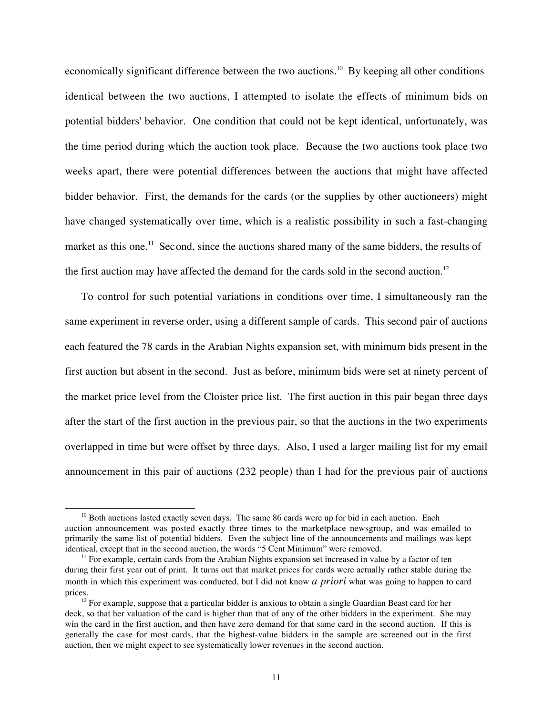economically significant difference between the two auctions.<sup>10</sup> By keeping all other conditions identical between the two auctions, I attempted to isolate the effects of minimum bids on potential bidders' behavior. One condition that could not be kept identical, unfortunately, was the time period during which the auction took place. Because the two auctions took place two weeks apart, there were potential differences between the auctions that might have affected bidder behavior. First, the demands for the cards (or the supplies by other auctioneers) might have changed systematically over time, which is a realistic possibility in such a fast-changing market as this one.<sup>11</sup> Second, since the auctions shared many of the same bidders, the results of the first auction may have affected the demand for the cards sold in the second auction.<sup>12</sup>

To control for such potential variations in conditions over time, I simultaneously ran the same experiment in reverse order, using a different sample of cards. This second pair of auctions each featured the 78 cards in the Arabian Nights expansion set, with minimum bids present in the first auction but absent in the second. Just as before, minimum bids were set at ninety percent of the market price level from the Cloister price list. The first auction in this pair began three days after the start of the first auction in the previous pair, so that the auctions in the two experiments overlapped in time but were offset by three days. Also, I used a larger mailing list for my email announcement in this pair of auctions (232 people) than I had for the previous pair of auctions

<sup>&</sup>lt;sup>10</sup> Both auctions lasted exactly seven days. The same 86 cards were up for bid in each auction. Each auction announcement was posted exactly three times to the marketplace newsgroup, and was emailed to primarily the same list of potential bidders. Even the subject line of the announcements and mailings was kept identical, except that in the second auction, the words "5 Cent Minimum" were removed.

<sup>&</sup>lt;sup>11</sup> For example, certain cards from the Arabian Nights expansion set increased in value by a factor of ten during their first year out of print. It turns out that market prices for cards were actually rather stable during the month in which this experiment was conducted, but I did not know *a priori* what was going to happen to card prices.

<sup>&</sup>lt;sup>12</sup> For example, suppose that a particular bidder is anxious to obtain a single Guardian Beast card for her deck, so that her valuation of the card is higher than that of any of the other bidders in the experiment. She may win the card in the first auction, and then have zero demand for that same card in the second auction. If this is generally the case for most cards, that the highest-value bidders in the sample are screened out in the first auction, then we might expect to see systematically lower revenues in the second auction.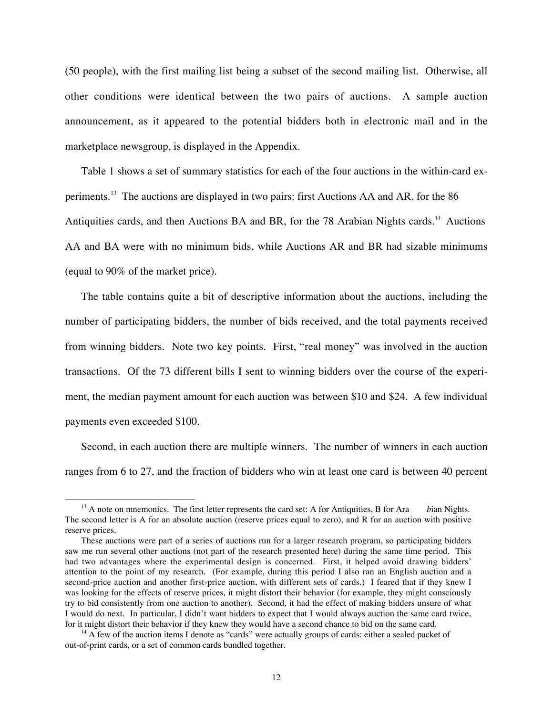(50 people), with the first mailing list being a subset of the second mailing list. Otherwise, all other conditions were identical between the two pairs of auctions. A sample auction announcement, as it appeared to the potential bidders both in electronic mail and in the marketplace newsgroup, is displayed in the Appendix.

Table 1 shows a set of summary statistics for each of the four auctions in the within-card experiments.<sup>13</sup> The auctions are displayed in two pairs: first Auctions AA and AR, for the 86 Antiquities cards, and then Auctions BA and BR, for the 78 Arabian Nights cards.<sup>14</sup> Auctions AA and BA were with no minimum bids, while Auctions AR and BR had sizable minimums (equal to 90% of the market price).

The table contains quite a bit of descriptive information about the auctions, including the number of participating bidders, the number of bids received, and the total payments received from winning bidders. Note two key points. First, "real money" was involved in the auction transactions. Of the 73 different bills I sent to winning bidders over the course of the experiment, the median payment amount for each auction was between \$10 and \$24. A few individual payments even exceeded \$100.

Second, in each auction there are multiple winners. The number of winners in each auction ranges from 6 to 27, and the fraction of bidders who win at least one card is between 40 percent

<sup>&</sup>lt;sup>13</sup> A note on mnemonics. The first letter represents the card set: A for Antiquities, B for Ara *bian Nights.* The second letter is A for an absolute auction (reserve prices equal to zero), and R for an auction with positive reserve prices.

These auctions were part of a series of auctions run for a larger research program, so participating bidders saw me run several other auctions (not part of the research presented here) during the same time period. This had two advantages where the experimental design is concerned. First, it helped avoid drawing bidders' attention to the point of my research. (For example, during this period I also ran an English auction and a second-price auction and another first-price auction, with different sets of cards.) I feared that if they knew I was looking for the effects of reserve prices, it might distort their behavior (for example, they might consciously try to bid consistently from one auction to another). Second, it had the effect of making bidders unsure of what I would do next. In particular, I didn't want bidders to expect that I would always auction the same card twice, for it might distort their behavior if they knew they would have a second chance to bid on the same card.

<sup>&</sup>lt;sup>14</sup> A few of the auction items I denote as "cards" were actually groups of cards: either a sealed packet of out-of-print cards, or a set of common cards bundled together.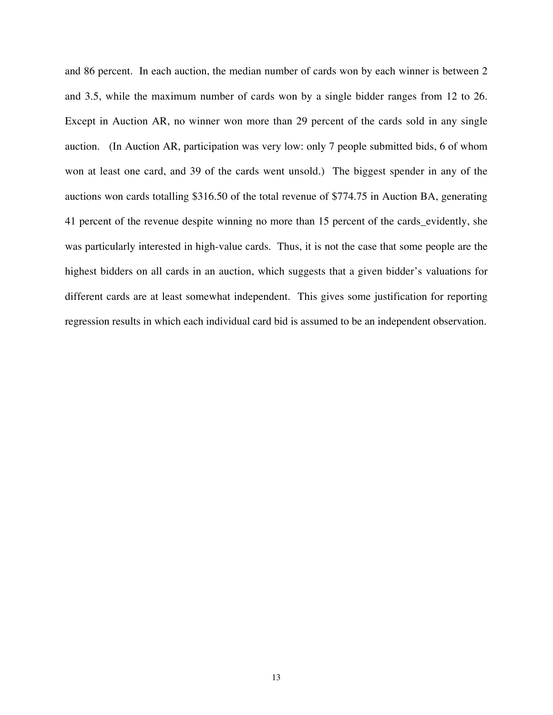and 86 percent. In each auction, the median number of cards won by each winner is between 2 and 3.5, while the maximum number of cards won by a single bidder ranges from 12 to 26. Except in Auction AR, no winner won more than 29 percent of the cards sold in any single auction. (In Auction AR, participation was very low: only 7 people submitted bids, 6 of whom won at least one card, and 39 of the cards went unsold.) The biggest spender in any of the auctions won cards totalling \$316.50 of the total revenue of \$774.75 in Auction BA, generating 41 percent of the revenue despite winning no more than 15 percent of the cards\_evidently, she was particularly interested in high-value cards. Thus, it is not the case that some people are the highest bidders on all cards in an auction, which suggests that a given bidder's valuations for different cards are at least somewhat independent. This gives some justification for reporting regression results in which each individual card bid is assumed to be an independent observation.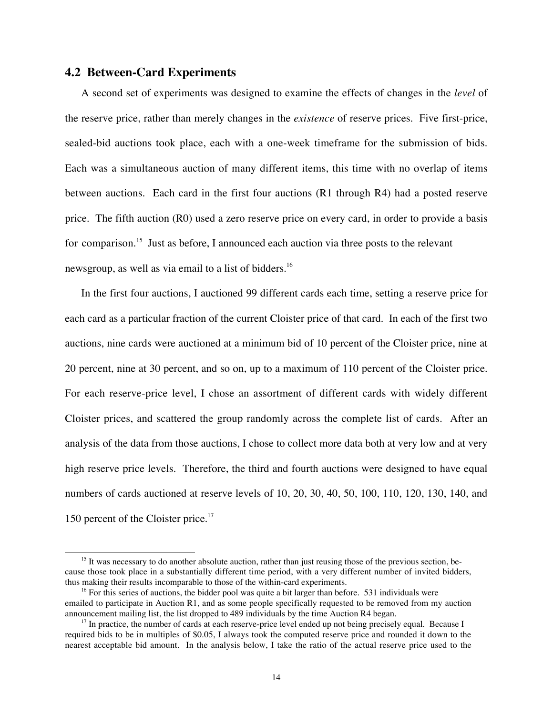#### **4.2 Between-Card Experiments**

A second set of experiments was designed to examine the effects of changes in the *level* of the reserve price, rather than merely changes in the *existence* of reserve prices. Five first-price, sealed-bid auctions took place, each with a one-week timeframe for the submission of bids. Each was a simultaneous auction of many different items, this time with no overlap of items between auctions. Each card in the first four auctions (R1 through R4) had a posted reserve price. The fifth auction (R0) used a zero reserve price on every card, in order to provide a basis for comparison.<sup>15</sup> Just as before, I announced each auction via three posts to the relevant newsgroup, as well as via email to a list of bidders.<sup>16</sup>

In the first four auctions, I auctioned 99 different cards each time, setting a reserve price for each card as a particular fraction of the current Cloister price of that card. In each of the first two auctions, nine cards were auctioned at a minimum bid of 10 percent of the Cloister price, nine at 20 percent, nine at 30 percent, and so on, up to a maximum of 110 percent of the Cloister price. For each reserve-price level, I chose an assortment of different cards with widely different Cloister prices, and scattered the group randomly across the complete list of cards. After an analysis of the data from those auctions, I chose to collect more data both at very low and at very high reserve price levels. Therefore, the third and fourth auctions were designed to have equal numbers of cards auctioned at reserve levels of 10, 20, 30, 40, 50, 100, 110, 120, 130, 140, and 150 percent of the Cloister price.<sup>17</sup>

<sup>&</sup>lt;sup>15</sup> It was necessary to do another absolute auction, rather than just reusing those of the previous section, because those took place in a substantially different time period, with a very different number of invited bidders, thus making their results incomparable to those of the within-card experiments.

<sup>&</sup>lt;sup>16</sup> For this series of auctions, the bidder pool was quite a bit larger than before. 531 individuals were emailed to participate in Auction R1, and as some people specifically requested to be removed from my auction announcement mailing list, the list dropped to 489 individuals by the time Auction R4 began.

<sup>&</sup>lt;sup>17</sup> In practice, the number of cards at each reserve-price level ended up not being precisely equal. Because I required bids to be in multiples of \$0.05, I always took the computed reserve price and rounded it down to the nearest acceptable bid amount. In the analysis below, I take the ratio of the actual reserve price used to the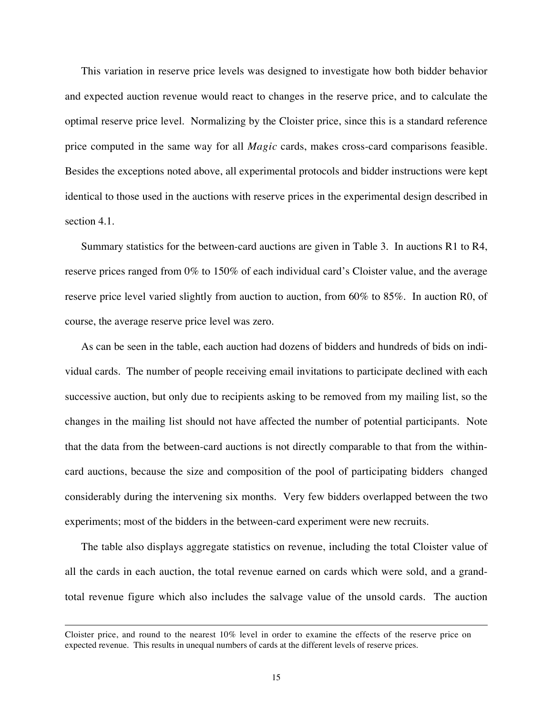This variation in reserve price levels was designed to investigate how both bidder behavior and expected auction revenue would react to changes in the reserve price, and to calculate the optimal reserve price level. Normalizing by the Cloister price, since this is a standard reference price computed in the same way for all *Magic* cards, makes cross-card comparisons feasible. Besides the exceptions noted above, all experimental protocols and bidder instructions were kept identical to those used in the auctions with reserve prices in the experimental design described in section 4.1.

Summary statistics for the between-card auctions are given in Table 3. In auctions R1 to R4, reserve prices ranged from 0% to 150% of each individual card's Cloister value, and the average reserve price level varied slightly from auction to auction, from 60% to 85%. In auction R0, of course, the average reserve price level was zero.

As can be seen in the table, each auction had dozens of bidders and hundreds of bids on individual cards. The number of people receiving email invitations to participate declined with each successive auction, but only due to recipients asking to be removed from my mailing list, so the changes in the mailing list should not have affected the number of potential participants. Note that the data from the between-card auctions is not directly comparable to that from the withincard auctions, because the size and composition of the pool of participating bidders changed considerably during the intervening six months. Very few bidders overlapped between the two experiments; most of the bidders in the between-card experiment were new recruits.

The table also displays aggregate statistics on revenue, including the total Cloister value of all the cards in each auction, the total revenue earned on cards which were sold, and a grandtotal revenue figure which also includes the salvage value of the unsold cards. The auction

 $\overline{a}$ 

Cloister price, and round to the nearest 10% level in order to examine the effects of the reserve price on expected revenue. This results in unequal numbers of cards at the different levels of reserve prices.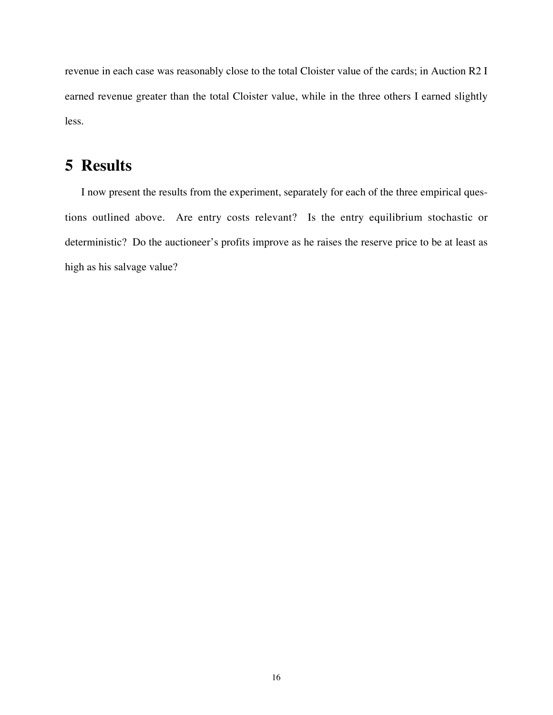revenue in each case was reasonably close to the total Cloister value of the cards; in Auction R2 I earned revenue greater than the total Cloister value, while in the three others I earned slightly less.

# **5 Results**

I now present the results from the experiment, separately for each of the three empirical questions outlined above. Are entry costs relevant? Is the entry equilibrium stochastic or deterministic? Do the auctioneer's profits improve as he raises the reserve price to be at least as high as his salvage value?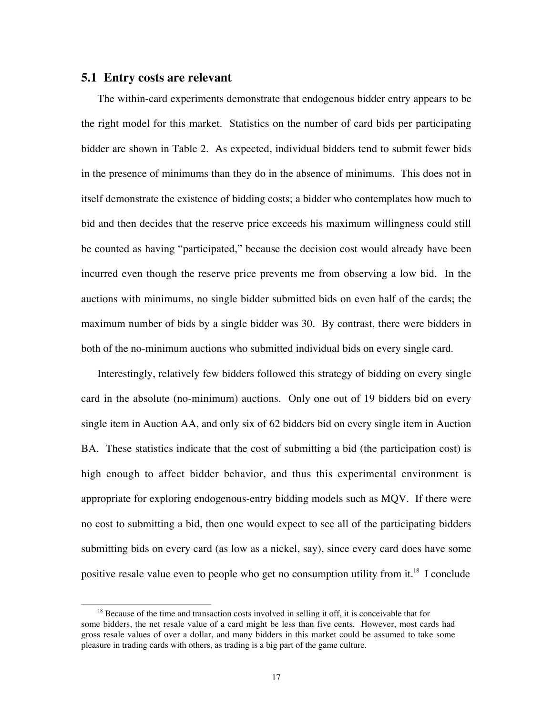#### **5.1 Entry costs are relevant**

The within-card experiments demonstrate that endogenous bidder entry appears to be the right model for this market. Statistics on the number of card bids per participating bidder are shown in Table 2. As expected, individual bidders tend to submit fewer bids in the presence of minimums than they do in the absence of minimums. This does not in itself demonstrate the existence of bidding costs; a bidder who contemplates how much to bid and then decides that the reserve price exceeds his maximum willingness could still be counted as having "participated," because the decision cost would already have been incurred even though the reserve price prevents me from observing a low bid. In the auctions with minimums, no single bidder submitted bids on even half of the cards; the maximum number of bids by a single bidder was 30. By contrast, there were bidders in both of the no-minimum auctions who submitted individual bids on every single card.

Interestingly, relatively few bidders followed this strategy of bidding on every single card in the absolute (no-minimum) auctions. Only one out of 19 bidders bid on every single item in Auction AA, and only six of 62 bidders bid on every single item in Auction BA. These statistics indicate that the cost of submitting a bid (the participation cost) is high enough to affect bidder behavior, and thus this experimental environment is appropriate for exploring endogenous-entry bidding models such as MQV. If there were no cost to submitting a bid, then one would expect to see all of the participating bidders submitting bids on every card (as low as a nickel, say), since every card does have some positive resale value even to people who get no consumption utility from it.<sup>18</sup> I conclude

<sup>&</sup>lt;sup>18</sup> Because of the time and transaction costs involved in selling it off, it is conceivable that for some bidders, the net resale value of a card might be less than five cents. However, most cards had gross resale values of over a dollar, and many bidders in this market could be assumed to take some pleasure in trading cards with others, as trading is a big part of the game culture.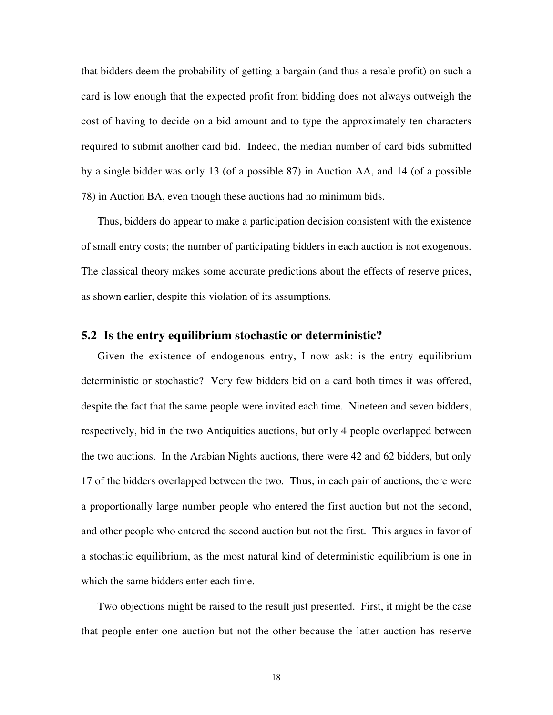that bidders deem the probability of getting a bargain (and thus a resale profit) on such a card is low enough that the expected profit from bidding does not always outweigh the cost of having to decide on a bid amount and to type the approximately ten characters required to submit another card bid. Indeed, the median number of card bids submitted by a single bidder was only 13 (of a possible 87) in Auction AA, and 14 (of a possible 78) in Auction BA, even though these auctions had no minimum bids.

Thus, bidders do appear to make a participation decision consistent with the existence of small entry costs; the number of participating bidders in each auction is not exogenous. The classical theory makes some accurate predictions about the effects of reserve prices, as shown earlier, despite this violation of its assumptions.

#### **5.2 Is the entry equilibrium stochastic or deterministic?**

Given the existence of endogenous entry, I now ask: is the entry equilibrium deterministic or stochastic? Very few bidders bid on a card both times it was offered, despite the fact that the same people were invited each time. Nineteen and seven bidders, respectively, bid in the two Antiquities auctions, but only 4 people overlapped between the two auctions. In the Arabian Nights auctions, there were 42 and 62 bidders, but only 17 of the bidders overlapped between the two. Thus, in each pair of auctions, there were a proportionally large number people who entered the first auction but not the second, and other people who entered the second auction but not the first. This argues in favor of a stochastic equilibrium, as the most natural kind of deterministic equilibrium is one in which the same bidders enter each time.

Two objections might be raised to the result just presented. First, it might be the case that people enter one auction but not the other because the latter auction has reserve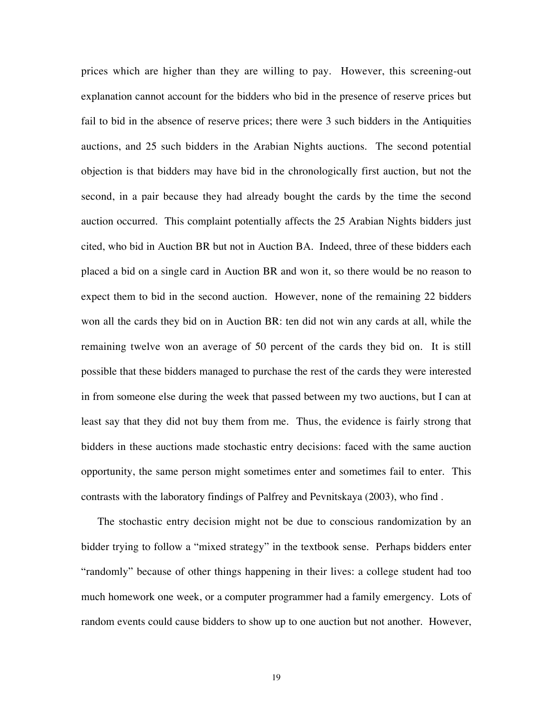prices which are higher than they are willing to pay. However, this screening-out explanation cannot account for the bidders who bid in the presence of reserve prices but fail to bid in the absence of reserve prices; there were 3 such bidders in the Antiquities auctions, and 25 such bidders in the Arabian Nights auctions. The second potential objection is that bidders may have bid in the chronologically first auction, but not the second, in a pair because they had already bought the cards by the time the second auction occurred. This complaint potentially affects the 25 Arabian Nights bidders just cited, who bid in Auction BR but not in Auction BA. Indeed, three of these bidders each placed a bid on a single card in Auction BR and won it, so there would be no reason to expect them to bid in the second auction. However, none of the remaining 22 bidders won all the cards they bid on in Auction BR: ten did not win any cards at all, while the remaining twelve won an average of 50 percent of the cards they bid on. It is still possible that these bidders managed to purchase the rest of the cards they were interested in from someone else during the week that passed between my two auctions, but I can at least say that they did not buy them from me. Thus, the evidence is fairly strong that bidders in these auctions made stochastic entry decisions: faced with the same auction opportunity, the same person might sometimes enter and sometimes fail to enter. This contrasts with the laboratory findings of Palfrey and Pevnitskaya (2003), who find .

The stochastic entry decision might not be due to conscious randomization by an bidder trying to follow a "mixed strategy" in the textbook sense. Perhaps bidders enter "randomly" because of other things happening in their lives: a college student had too much homework one week, or a computer programmer had a family emergency. Lots of random events could cause bidders to show up to one auction but not another. However,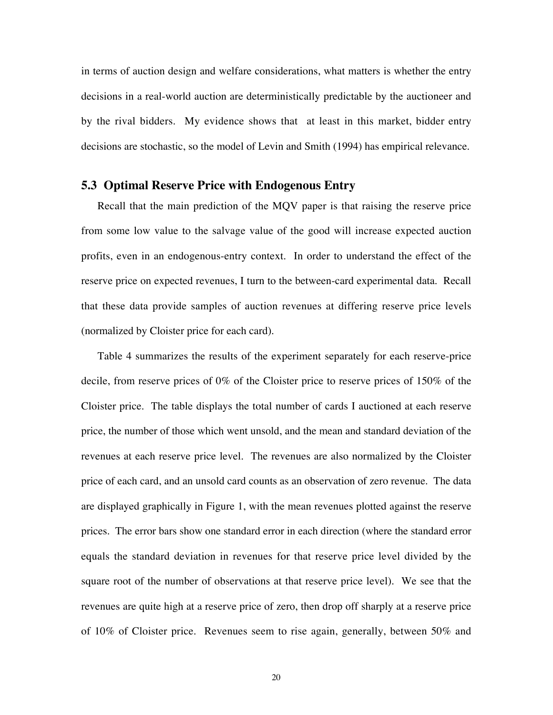in terms of auction design and welfare considerations, what matters is whether the entry decisions in a real-world auction are deterministically predictable by the auctioneer and by the rival bidders. My evidence shows that at least in this market, bidder entry decisions are stochastic, so the model of Levin and Smith (1994) has empirical relevance.

#### **5.3 Optimal Reserve Price with Endogenous Entry**

Recall that the main prediction of the MQV paper is that raising the reserve price from some low value to the salvage value of the good will increase expected auction profits, even in an endogenous-entry context. In order to understand the effect of the reserve price on expected revenues, I turn to the between-card experimental data. Recall that these data provide samples of auction revenues at differing reserve price levels (normalized by Cloister price for each card).

Table 4 summarizes the results of the experiment separately for each reserve-price decile, from reserve prices of 0% of the Cloister price to reserve prices of 150% of the Cloister price. The table displays the total number of cards I auctioned at each reserve price, the number of those which went unsold, and the mean and standard deviation of the revenues at each reserve price level. The revenues are also normalized by the Cloister price of each card, and an unsold card counts as an observation of zero revenue. The data are displayed graphically in Figure 1, with the mean revenues plotted against the reserve prices. The error bars show one standard error in each direction (where the standard error equals the standard deviation in revenues for that reserve price level divided by the square root of the number of observations at that reserve price level). We see that the revenues are quite high at a reserve price of zero, then drop off sharply at a reserve price of 10% of Cloister price. Revenues seem to rise again, generally, between 50% and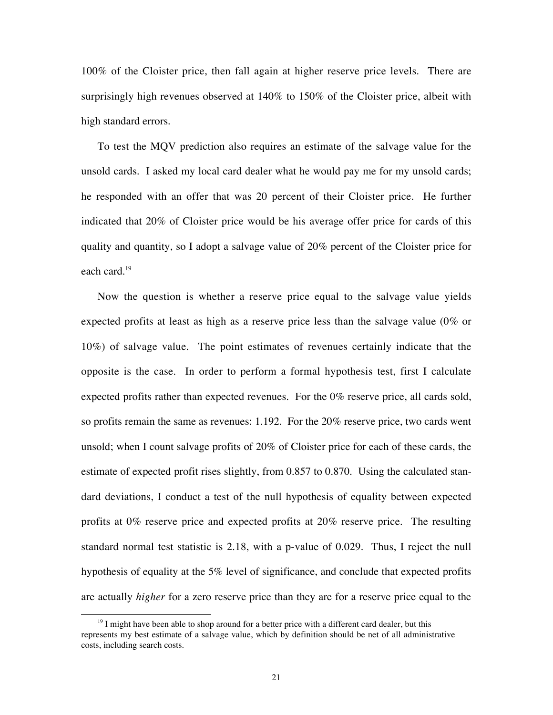100% of the Cloister price, then fall again at higher reserve price levels. There are surprisingly high revenues observed at 140% to 150% of the Cloister price, albeit with high standard errors.

To test the MQV prediction also requires an estimate of the salvage value for the unsold cards. I asked my local card dealer what he would pay me for my unsold cards; he responded with an offer that was 20 percent of their Cloister price. He further indicated that 20% of Cloister price would be his average offer price for cards of this quality and quantity, so I adopt a salvage value of 20% percent of the Cloister price for each card.<sup>19</sup>

Now the question is whether a reserve price equal to the salvage value yields expected profits at least as high as a reserve price less than the salvage value (0% or 10%) of salvage value. The point estimates of revenues certainly indicate that the opposite is the case. In order to perform a formal hypothesis test, first I calculate expected profits rather than expected revenues. For the 0% reserve price, all cards sold, so profits remain the same as revenues: 1.192. For the 20% reserve price, two cards went unsold; when I count salvage profits of 20% of Cloister price for each of these cards, the estimate of expected profit rises slightly, from 0.857 to 0.870. Using the calculated standard deviations, I conduct a test of the null hypothesis of equality between expected profits at 0% reserve price and expected profits at 20% reserve price. The resulting standard normal test statistic is 2.18, with a p-value of 0.029. Thus, I reject the null hypothesis of equality at the 5% level of significance, and conclude that expected profits are actually *higher* for a zero reserve price than they are for a reserve price equal to the

<sup>&</sup>lt;sup>19</sup> I might have been able to shop around for a better price with a different card dealer, but this represents my best estimate of a salvage value, which by definition should be net of all administrative costs, including search costs.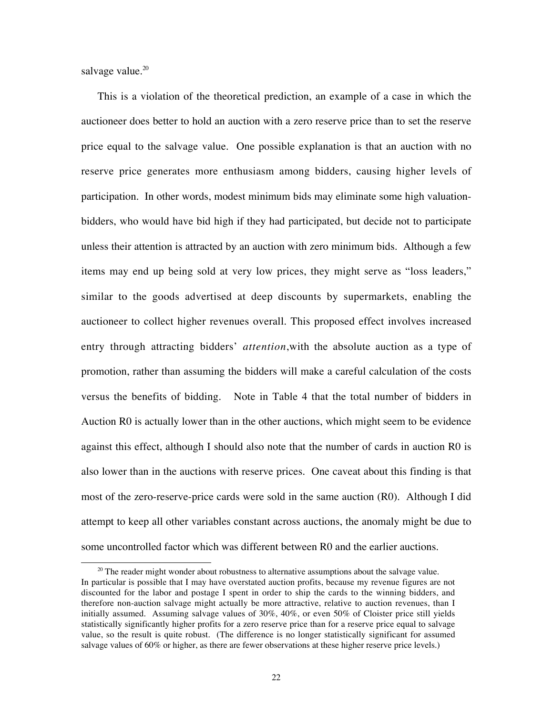salvage value. $^{20}$ 

This is a violation of the theoretical prediction, an example of a case in which the auctioneer does better to hold an auction with a zero reserve price than to set the reserve price equal to the salvage value. One possible explanation is that an auction with no reserve price generates more enthusiasm among bidders, causing higher levels of participation. In other words, modest minimum bids may eliminate some high valuationbidders, who would have bid high if they had participated, but decide not to participate unless their attention is attracted by an auction with zero minimum bids. Although a few items may end up being sold at very low prices, they might serve as "loss leaders," similar to the goods advertised at deep discounts by supermarkets, enabling the auctioneer to collect higher revenues overall. This proposed effect involves increased entry through attracting bidders' *attention*,with the absolute auction as a type of promotion, rather than assuming the bidders will make a careful calculation of the costs versus the benefits of bidding. Note in Table 4 that the total number of bidders in Auction R0 is actually lower than in the other auctions, which might seem to be evidence against this effect, although I should also note that the number of cards in auction R0 is also lower than in the auctions with reserve prices. One caveat about this finding is that most of the zero-reserve-price cards were sold in the same auction (R0). Although I did attempt to keep all other variables constant across auctions, the anomaly might be due to some uncontrolled factor which was different between R0 and the earlier auctions.

<sup>&</sup>lt;sup>20</sup> The reader might wonder about robustness to alternative assumptions about the salvage value. In particular is possible that I may have overstated auction profits, because my revenue figures are not discounted for the labor and postage I spent in order to ship the cards to the winning bidders, and therefore non-auction salvage might actually be more attractive, relative to auction revenues, than I initially assumed. Assuming salvage values of 30%, 40%, or even 50% of Cloister price still yields statistically significantly higher profits for a zero reserve price than for a reserve price equal to salvage value, so the result is quite robust. (The difference is no longer statistically significant for assumed salvage values of 60% or higher, as there are fewer observations at these higher reserve price levels.)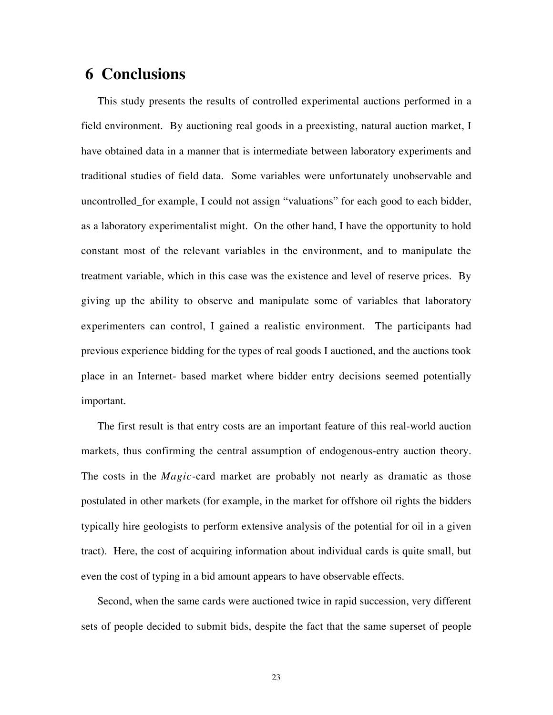# **6 Conclusions**

This study presents the results of controlled experimental auctions performed in a field environment. By auctioning real goods in a preexisting, natural auction market, I have obtained data in a manner that is intermediate between laboratory experiments and traditional studies of field data. Some variables were unfortunately unobservable and uncontrolled\_for example, I could not assign "valuations" for each good to each bidder, as a laboratory experimentalist might. On the other hand, I have the opportunity to hold constant most of the relevant variables in the environment, and to manipulate the treatment variable, which in this case was the existence and level of reserve prices. By giving up the ability to observe and manipulate some of variables that laboratory experimenters can control, I gained a realistic environment. The participants had previous experience bidding for the types of real goods I auctioned, and the auctions took place in an Internet- based market where bidder entry decisions seemed potentially important.

The first result is that entry costs are an important feature of this real-world auction markets, thus confirming the central assumption of endogenous-entry auction theory. The costs in the *Magic*-card market are probably not nearly as dramatic as those postulated in other markets (for example, in the market for offshore oil rights the bidders typically hire geologists to perform extensive analysis of the potential for oil in a given tract). Here, the cost of acquiring information about individual cards is quite small, but even the cost of typing in a bid amount appears to have observable effects.

Second, when the same cards were auctioned twice in rapid succession, very different sets of people decided to submit bids, despite the fact that the same superset of people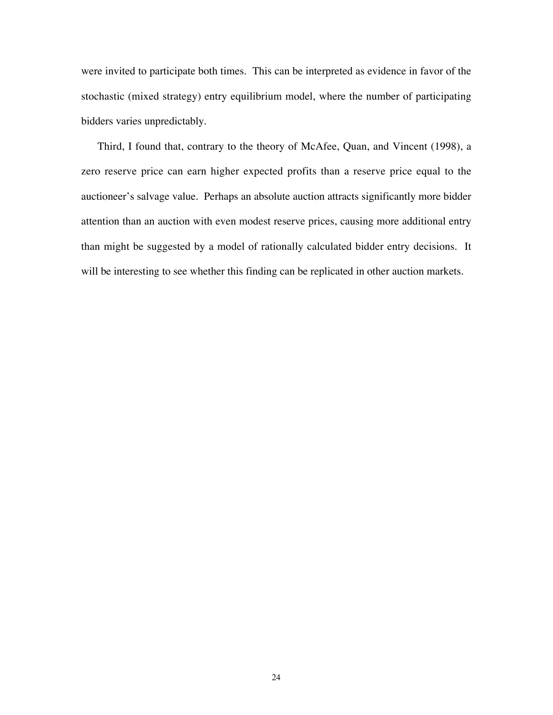were invited to participate both times. This can be interpreted as evidence in favor of the stochastic (mixed strategy) entry equilibrium model, where the number of participating bidders varies unpredictably.

Third, I found that, contrary to the theory of McAfee, Quan, and Vincent (1998), a zero reserve price can earn higher expected profits than a reserve price equal to the auctioneer's salvage value. Perhaps an absolute auction attracts significantly more bidder attention than an auction with even modest reserve prices, causing more additional entry than might be suggested by a model of rationally calculated bidder entry decisions. It will be interesting to see whether this finding can be replicated in other auction markets.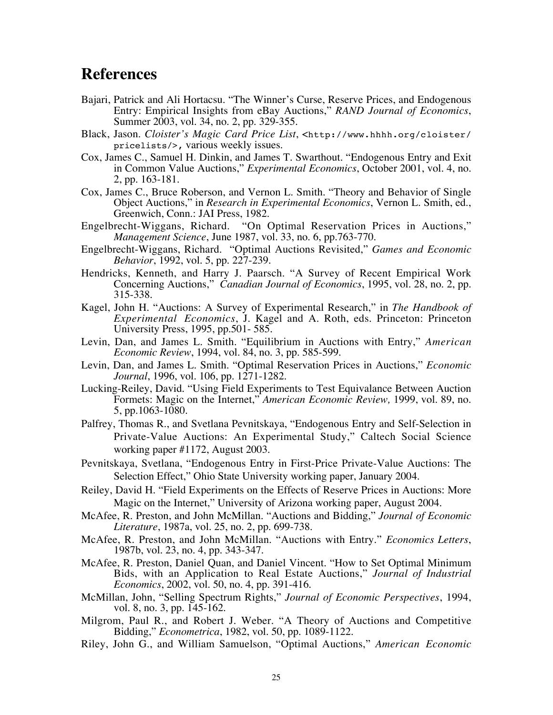# **References**

- Bajari, Patrick and Ali Hortacsu. "The Winner's Curse, Reserve Prices, and Endogenous Entry: Empirical Insights from eBay Auctions," *RAND Journal of Economics*, Summer 2003, vol. 34, no. 2, pp. 329-355.
- Black, Jason. *Cloister's Magic Card Price List*, <http://www.hhhh.org/cloister/ pricelists/>, various weekly issues.
- Cox, James C., Samuel H. Dinkin, and James T. Swarthout. "Endogenous Entry and Exit in Common Value Auctions," *Experimental Economics*, October 2001, vol. 4, no. 2, pp. 163-181.
- Cox, James C., Bruce Roberson, and Vernon L. Smith. "Theory and Behavior of Single Object Auctions," in *Research in Experimental Economics*, Vernon L. Smith, ed., Greenwich, Conn.: JAI Press, 1982.
- Engelbrecht-Wiggans, Richard. "On Optimal Reservation Prices in Auctions," *Management Science*, June 1987, vol. 33, no. 6, pp.763-770.
- Engelbrecht-Wiggans, Richard. "Optimal Auctions Revisited," *Games and Economic Behavior*, 1992, vol. 5, pp. 227-239.
- Hendricks, Kenneth, and Harry J. Paarsch. "A Survey of Recent Empirical Work Concerning Auctions," *Canadian Journal of Economics*, 1995, vol. 28, no. 2, pp. 315-338.
- Kagel, John H. "Auctions: A Survey of Experimental Research," in *The Handbook of Experimental Economics*, J. Kagel and A. Roth, eds. Princeton: Princeton University Press, 1995, pp.501- 585.
- Levin, Dan, and James L. Smith. "Equilibrium in Auctions with Entry," *American Economic Review*, 1994, vol. 84, no. 3, pp. 585-599.
- Levin, Dan, and James L. Smith. "Optimal Reservation Prices in Auctions," *Economic Journal*, 1996, vol. 106, pp. 1271-1282.
- Lucking-Reiley, David. "Using Field Experiments to Test Equivalance Between Auction Formets: Magic on the Internet," *American Economic Review,* 1999, vol. 89, no. 5, pp.1063-1080.
- Palfrey, Thomas R., and Svetlana Pevnitskaya, "Endogenous Entry and Self-Selection in Private-Value Auctions: An Experimental Study," Caltech Social Science working paper #1172, August 2003.
- Pevnitskaya, Svetlana, "Endogenous Entry in First-Price Private-Value Auctions: The Selection Effect," Ohio State University working paper, January 2004.
- Reiley, David H. "Field Experiments on the Effects of Reserve Prices in Auctions: More Magic on the Internet," University of Arizona working paper, August 2004.
- McAfee, R. Preston, and John McMillan. "Auctions and Bidding," *Journal of Economic Literature*, 1987a, vol. 25, no. 2, pp. 699-738.
- McAfee, R. Preston, and John McMillan. "Auctions with Entry." *Economics Letters*, 1987b, vol. 23, no. 4, pp. 343-347.
- McAfee, R. Preston, Daniel Quan, and Daniel Vincent. "How to Set Optimal Minimum Bids, with an Application to Real Estate Auctions," *Journal of Industrial Economics*, 2002, vol. 50, no. 4, pp. 391-416.
- McMillan, John, "Selling Spectrum Rights," *Journal of Economic Perspectives*, 1994, vol. 8, no. 3, pp. 145-162.
- Milgrom, Paul R., and Robert J. Weber. "A Theory of Auctions and Competitive Bidding," *Econometrica*, 1982, vol. 50, pp. 1089-1122.
- Riley, John G., and William Samuelson, "Optimal Auctions," *American Economic*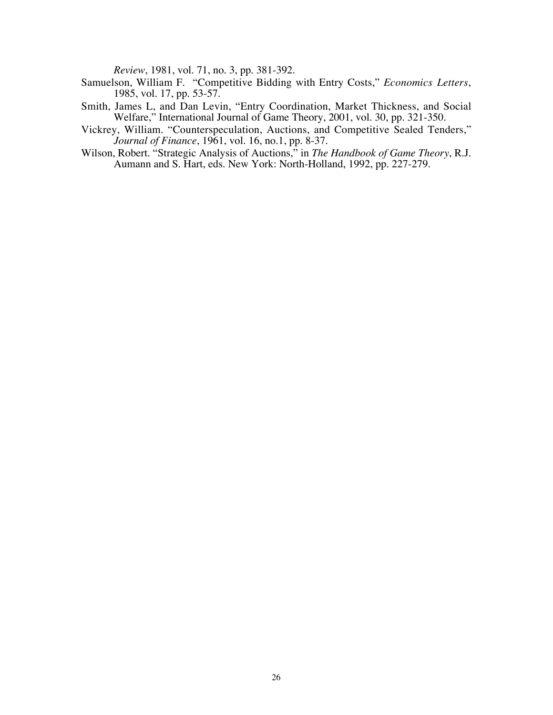*Review*, 1981, vol. 71, no. 3, pp. 381-392.

- Samuelson, William F. "Competitive Bidding with Entry Costs," *Economics Letters*, 1985, vol. 17, pp. 53-57.
- Smith, James L, and Dan Levin, "Entry Coordination, Market Thickness, and Social Welfare," International Journal of Game Theory, 2001, vol. 30, pp. 321-350.
- Vickrey, William. "Counterspeculation, Auctions, and Competitive Sealed Tenders," *Journal of Finance*, 1961, vol. 16, no.1, pp. 8-37.
- Wilson, Robert. "Strategic Analysis of Auctions," in *The Handbook of Game Theory*, R.J. Aumann and S. Hart, eds. New York: North-Holland, 1992, pp. 227-279.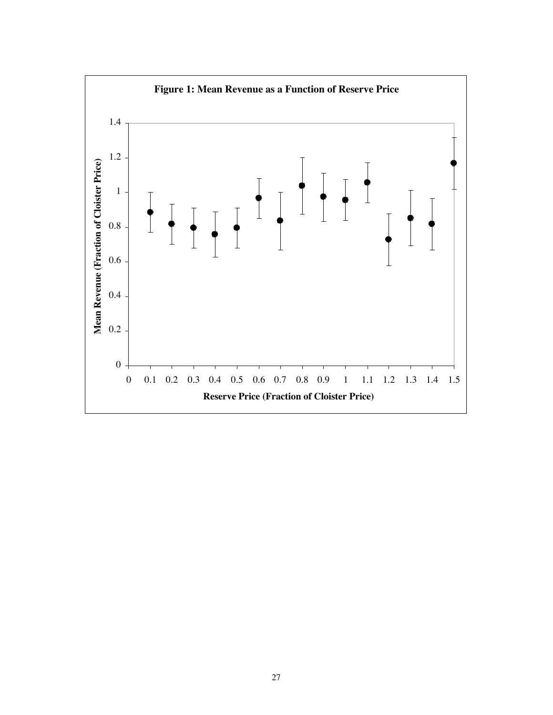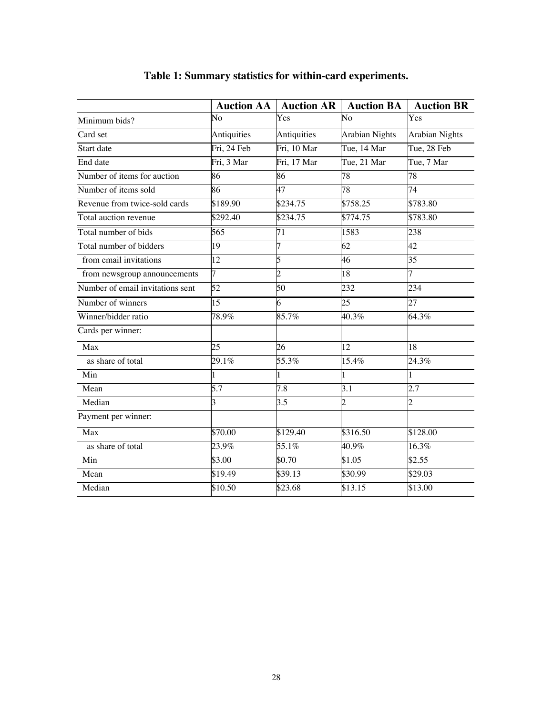|                                  |                 | <b>Auction AA</b>   <b>Auction AR</b> | <b>Auction BA</b>     | <b>Auction BR</b>     |
|----------------------------------|-----------------|---------------------------------------|-----------------------|-----------------------|
| Minimum bids?                    | No              | Yes                                   | $\overline{N}$        | Yes                   |
| Card set                         | Antiquities     | Antiquities                           | <b>Arabian Nights</b> | <b>Arabian Nights</b> |
| Start date                       | Fri, 24 Feb     | Fri, 10 Mar                           | Tue, 14 Mar           | Tue, 28 Feb           |
| End date                         | Fri, 3 Mar      | Fri, 17 Mar                           | Tue, 21 Mar           | Tue, 7 Mar            |
| Number of items for auction      | 86              | 86                                    | 78                    | 78                    |
| Number of items sold             | 86              | 47                                    | 78                    | 74                    |
| Revenue from twice-sold cards    | \$189.90        | \$234.75                              | \$758.25              | \$783.80              |
| Total auction revenue            | \$292.40        | \$234.75                              | \$774.75              | \$783.80              |
| Total number of bids             | 565             | 71                                    | 1583                  | 238                   |
| Total number of bidders          | 19              | 7                                     | 62                    | 42                    |
| from email invitations           | 12              | 5                                     | 46                    | $\overline{35}$       |
| from newsgroup announcements     | 7               | $\overline{c}$                        | 18                    | $\overline{7}$        |
| Number of email invitations sent | $\overline{52}$ | 50                                    | 232                   | 234                   |
| Number of winners                | $\overline{15}$ | 6                                     | 25                    | 27                    |
| Winner/bidder ratio              | 78.9%           | 85.7%                                 | 40.3%                 | 64.3%                 |
| Cards per winner:                |                 |                                       |                       |                       |
| Max                              | 25              | 26                                    | 12                    | 18                    |
| as share of total                | 29.1%           | 55.3%                                 | 15.4%                 | 24.3%                 |
| Min                              |                 | $\mathbf{1}$                          | 1                     |                       |
| Mean                             | 5.7             | 7.8                                   | 3.1                   | 2.7                   |
| Median                           | 3               | 3.5                                   | $\overline{2}$        | $\overline{2}$        |
| Payment per winner:              |                 |                                       |                       |                       |
| Max                              | \$70.00         | \$129.40                              | \$316.50              | \$128.00              |
| as share of total                | 23.9%           | 55.1%                                 | 40.9%                 | 16.3%                 |
| Min                              | \$3.00          | \$0.70                                | \$1.05                | \$2.55                |
| Mean                             | \$19.49         | \$39.13                               | \$30.99               | \$29.03               |
| Median                           | \$10.50         | \$23.68                               | \$13.15               | \$13.00               |

## **Table 1: Summary statistics for within-card experiments.**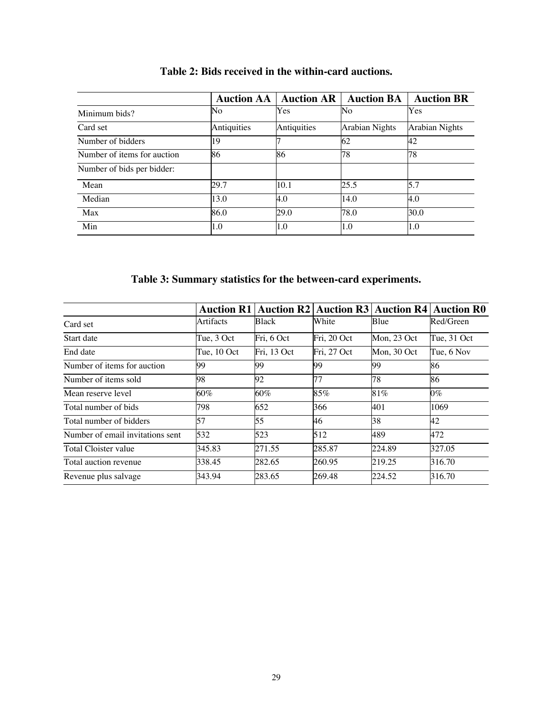|                             | <b>Auction AA</b> | <b>Auction AR</b> | <b>Auction BA</b> | <b>Auction BR</b>     |
|-----------------------------|-------------------|-------------------|-------------------|-----------------------|
| Minimum bids?               | No                | Yes               | No                | Yes                   |
| Card set                    | Antiquities       | Antiquities       | Arabian Nights    | <b>Arabian Nights</b> |
| Number of bidders           | 19                |                   | 62                | 42                    |
| Number of items for auction | 86                | 86                | 78                | 78                    |
| Number of bids per bidder:  |                   |                   |                   |                       |
| Mean                        | 29.7              | 10.1              | 25.5              | 5.7                   |
| Median                      | 13.0              | 4.0               | 14.0              | 4.0                   |
| Max                         | 86.0              | 29.0              | 78.0              | 30.0                  |
| Min                         | 1.0               | 1.0               | 1.0               | 1.0                   |

### **Table 2: Bids received in the within-card auctions.**

### **Table 3: Summary statistics for the between-card experiments.**

|                                  |             | Auction R1   Auction R2   Auction R3   Auction R4   Auction R0 |             |             |             |
|----------------------------------|-------------|----------------------------------------------------------------|-------------|-------------|-------------|
| Card set                         | Artifacts   | Black                                                          | White       | Blue        | Red/Green   |
| Start date                       | Tue, 3 Oct  | Fri, 6 Oct                                                     | Fri, 20 Oct | Mon, 23 Oct | Tue, 31 Oct |
| End date                         | Tue, 10 Oct | Fri, 13 Oct                                                    | Fri, 27 Oct | Mon, 30 Oct | Tue, 6 Nov  |
| Number of items for auction      | 99          | 99                                                             | 99          | 99          | 86          |
| Number of items sold             | 98          | 92                                                             | 77          | 78          | 86          |
| Mean reserve level               | 60%         | 60%                                                            | 85%         | 81%         | $0\%$       |
| Total number of bids             | 798         | 652                                                            | 366         | 401         | 1069        |
| Total number of bidders          | 57          | 55                                                             | 46          | 38          | 42          |
| Number of email invitations sent | 532         | 523                                                            | 512         | 489         | 472         |
| Total Cloister value             | 345.83      | 271.55                                                         | 285.87      | 224.89      | 327.05      |
| Total auction revenue            | 338.45      | 282.65                                                         | 260.95      | 219.25      | 316.70      |
| Revenue plus salvage             | 343.94      | 283.65                                                         | 269.48      | 224.52      | 316.70      |